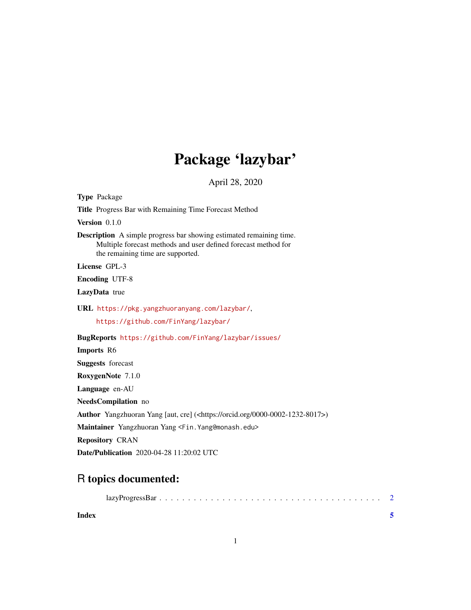## Package 'lazybar'

April 28, 2020

| <b>Type Package</b>                                                                                                                                                               |  |  |  |  |
|-----------------------------------------------------------------------------------------------------------------------------------------------------------------------------------|--|--|--|--|
| <b>Title</b> Progress Bar with Remaining Time Forecast Method                                                                                                                     |  |  |  |  |
| Version 0.1.0                                                                                                                                                                     |  |  |  |  |
| <b>Description</b> A simple progress bar showing estimated remaining time.<br>Multiple forecast methods and user defined forecast method for<br>the remaining time are supported. |  |  |  |  |
| License GPL-3                                                                                                                                                                     |  |  |  |  |
| <b>Encoding UTF-8</b>                                                                                                                                                             |  |  |  |  |
| LazyData true                                                                                                                                                                     |  |  |  |  |
| URL https://pkg.yangzhuoranyang.com/lazybar/,                                                                                                                                     |  |  |  |  |
| https://github.com/FinYang/lazybar/                                                                                                                                               |  |  |  |  |
| BugReports https://github.com/FinYang/lazybar/issues/                                                                                                                             |  |  |  |  |
|                                                                                                                                                                                   |  |  |  |  |
| Imports R6                                                                                                                                                                        |  |  |  |  |
| <b>Suggests</b> forecast                                                                                                                                                          |  |  |  |  |
| RoxygenNote 7.1.0                                                                                                                                                                 |  |  |  |  |
| Language en-AU                                                                                                                                                                    |  |  |  |  |
| <b>NeedsCompilation</b> no                                                                                                                                                        |  |  |  |  |
| <b>Author</b> Yangzhuoran Yang [aut, cre] ( <https: 0000-0002-1232-8017="" orcid.org="">)</https:>                                                                                |  |  |  |  |
| Maintainer Yangzhuoran Yang <fin. edu="" yang@monash.=""></fin.>                                                                                                                  |  |  |  |  |
| <b>Repository CRAN</b>                                                                                                                                                            |  |  |  |  |

### R topics documented:

| Index |  |
|-------|--|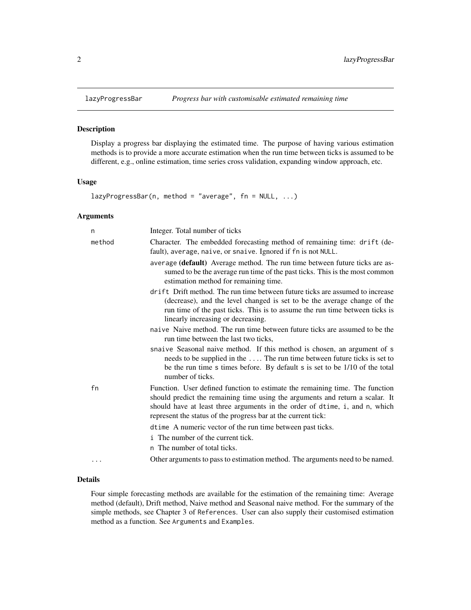<span id="page-1-0"></span>

#### Description

Display a progress bar displaying the estimated time. The purpose of having various estimation methods is to provide a more accurate estimation when the run time between ticks is assumed to be different, e.g., online estimation, time series cross validation, expanding window approach, etc.

#### Usage

```
lazyProgressBar(n, method = "average", fn = NULL, ...)
```
#### Arguments

| n      | Integer. Total number of ticks                                                                                                                                                                                                                                                                                |
|--------|---------------------------------------------------------------------------------------------------------------------------------------------------------------------------------------------------------------------------------------------------------------------------------------------------------------|
| method | Character. The embedded forecasting method of remaining time: drift (de-<br>fault), average, naive, or snaive. Ignored if fn is not NULL.                                                                                                                                                                     |
|        | average (default) Average method. The run time between future ticks are as-<br>sumed to be the average run time of the past ticks. This is the most common<br>estimation method for remaining time.                                                                                                           |
|        | drift Drift method. The run time between future ticks are assumed to increase<br>(decrease), and the level changed is set to be the average change of the<br>run time of the past ticks. This is to assume the run time between ticks is<br>linearly increasing or decreasing.                                |
|        | naive Naive method. The run time between future ticks are assumed to be the<br>run time between the last two ticks.                                                                                                                                                                                           |
|        | snaive Seasonal naive method. If this method is chosen, an argument of s<br>needs to be supplied in the  The run time between future ticks is set to<br>be the run time s times before. By default s is set to be 1/10 of the total<br>number of ticks.                                                       |
| fn     | Function. User defined function to estimate the remaining time. The function<br>should predict the remaining time using the arguments and return a scalar. It<br>should have at least three arguments in the order of dtime, i, and n, which<br>represent the status of the progress bar at the current tick: |
|        | dtime A numeric vector of the run time between past ticks.                                                                                                                                                                                                                                                    |
|        | i The number of the current tick.                                                                                                                                                                                                                                                                             |
|        | n The number of total ticks.                                                                                                                                                                                                                                                                                  |
| .      | Other arguments to pass to estimation method. The arguments need to be named.                                                                                                                                                                                                                                 |

#### Details

Four simple forecasting methods are available for the estimation of the remaining time: Average method (default), Drift method, Naive method and Seasonal naive method. For the summary of the simple methods, see Chapter 3 of References. User can also supply their customised estimation method as a function. See Arguments and Examples.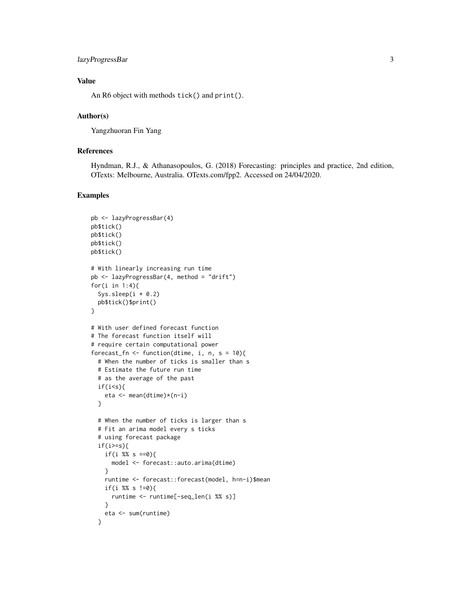#### lazyProgressBar 3

#### Value

An R6 object with methods tick() and print().

#### Author(s)

Yangzhuoran Fin Yang

#### References

Hyndman, R.J., & Athanasopoulos, G. (2018) Forecasting: principles and practice, 2nd edition, OTexts: Melbourne, Australia. OTexts.com/fpp2. Accessed on 24/04/2020.

#### Examples

```
pb <- lazyProgressBar(4)
pb$tick()
pb$tick()
pb$tick()
pb$tick()
# With linearly increasing run time
pb <- lazyProgressBar(4, method = "drift")
for(i in 1:4){
  Sys.sleep(i \times 0.2)
  pb$tick()$print()
}
# With user defined forecast function
# The forecast function itself will
# require certain computational power
forecast_fn <- function(dtime, i, n, s = 10){
  # When the number of ticks is smaller than s
  # Estimate the future run time
  # as the average of the past
  if(i\leqs){
   eta <- mean(dtime)*(n-i)
  }
  # When the number of ticks is larger than s
  # Fit an arima model every s ticks
  # using forecast package
  if(i)=s}{
    if(i %% s ==0){
      model <- forecast::auto.arima(dtime)
    }
    runtime <- forecast::forecast(model, h=n-i)$mean
   if(i %% s !=0){
      runtime <- runtime[-seq_len(i %% s)]
    }
   eta <- sum(runtime)
  }
```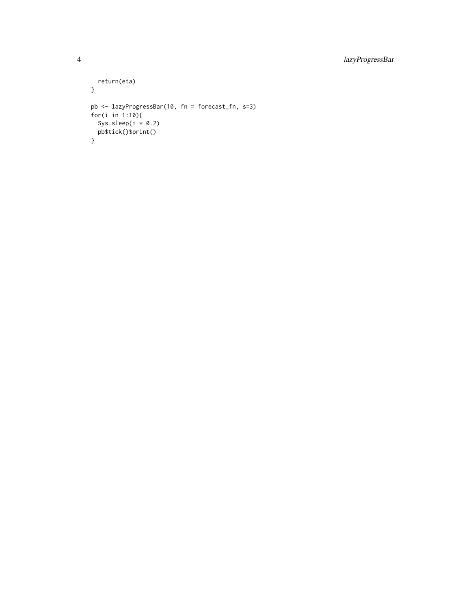```
return(eta)
}
pb <- lazyProgressBar(10, fn = forecast_fn, s=3)
for(i in 1:10){
  Sys.sleep(i * 0.2)
 pb$tick()$print()
}
```